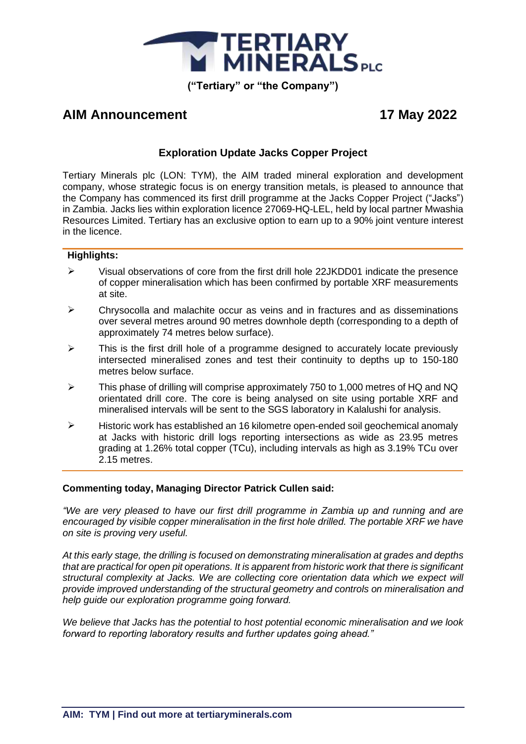

# **AIM Announcement 17 May 2022**

# **Exploration Update Jacks Copper Project**

Tertiary Minerals plc (LON: TYM), the AIM traded mineral exploration and development company, whose strategic focus is on energy transition metals, is pleased to announce that the Company has commenced its first drill programme at the Jacks Copper Project ("Jacks") in Zambia. Jacks lies within exploration licence 27069-HQ-LEL, held by local partner Mwashia Resources Limited. Tertiary has an exclusive option to earn up to a 90% joint venture interest in the licence.

## **Highlights:**

- ➢ Visual observations of core from the first drill hole 22JKDD01 indicate the presence of copper mineralisation which has been confirmed by portable XRF measurements at site.
- $\triangleright$  Chrysocolla and malachite occur as veins and in fractures and as disseminations over several metres around 90 metres downhole depth (corresponding to a depth of approximately 74 metres below surface).
- $\triangleright$  This is the first drill hole of a programme designed to accurately locate previously intersected mineralised zones and test their continuity to depths up to 150-180 metres below surface.
- ➢ This phase of drilling will comprise approximately 750 to 1,000 metres of HQ and NQ orientated drill core. The core is being analysed on site using portable XRF and mineralised intervals will be sent to the SGS laboratory in Kalalushi for analysis.
- ➢ Historic work has established an 16 kilometre open-ended soil geochemical anomaly at Jacks with historic drill logs reporting intersections as wide as 23.95 metres grading at 1.26% total copper (TCu), including intervals as high as 3.19% TCu over 2.15 metres.

## **Commenting today, Managing Director Patrick Cullen said:**

*"We are very pleased to have our first drill programme in Zambia up and running and are encouraged by visible copper mineralisation in the first hole drilled. The portable XRF we have on site is proving very useful.*

*At this early stage, the drilling is focused on demonstrating mineralisation at grades and depths that are practical for open pit operations. It is apparent from historic work that there is significant structural complexity at Jacks. We are collecting core orientation data which we expect will provide improved understanding of the structural geometry and controls on mineralisation and help guide our exploration programme going forward.*

*We believe that Jacks has the potential to host potential economic mineralisation and we look forward to reporting laboratory results and further updates going ahead."*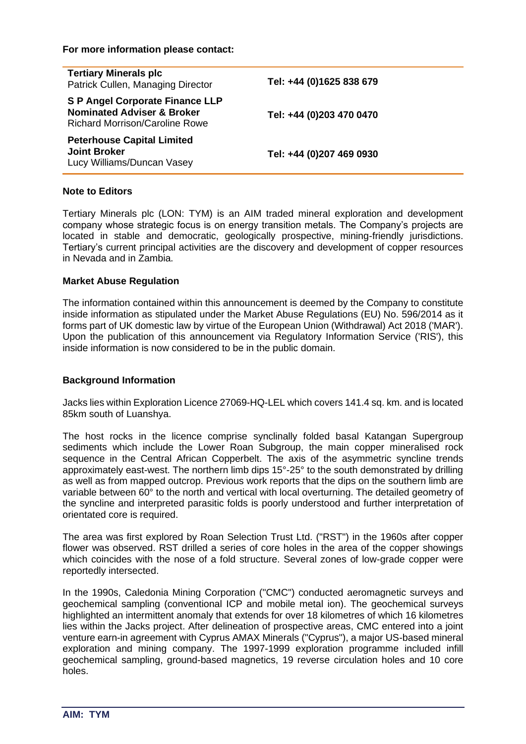| <b>Tertiary Minerals plc</b><br>Patrick Cullen, Managing Director                                                        | Tel: +44 (0)1625 838 679 |
|--------------------------------------------------------------------------------------------------------------------------|--------------------------|
| <b>S P Angel Corporate Finance LLP</b><br><b>Nominated Adviser &amp; Broker</b><br><b>Richard Morrison/Caroline Rowe</b> | Tel: +44 (0)203 470 0470 |
| <b>Peterhouse Capital Limited</b><br><b>Joint Broker</b><br>Lucy Williams/Duncan Vasey                                   | Tel: +44 (0)207 469 0930 |

#### **Note to Editors**

Tertiary Minerals plc (LON: TYM) is an AIM traded mineral exploration and development company whose strategic focus is on energy transition metals. The Company's projects are located in stable and democratic, geologically prospective, mining-friendly jurisdictions. Tertiary's current principal activities are the discovery and development of copper resources in Nevada and in Zambia.

#### **Market Abuse Regulation**

The information contained within this announcement is deemed by the Company to constitute inside information as stipulated under the Market Abuse Regulations (EU) No. 596/2014 as it forms part of UK domestic law by virtue of the European Union (Withdrawal) Act 2018 ('MAR'). Upon the publication of this announcement via Regulatory Information Service ('RIS'), this inside information is now considered to be in the public domain.

#### **Background Information**

Jacks lies within Exploration Licence 27069-HQ-LEL which covers 141.4 sq. km. and is located 85km south of Luanshya.

The host rocks in the licence comprise synclinally folded basal Katangan Supergroup sediments which include the Lower Roan Subgroup, the main copper mineralised rock sequence in the Central African Copperbelt. The axis of the asymmetric syncline trends approximately east-west. The northern limb dips 15°-25° to the south demonstrated by drilling as well as from mapped outcrop. Previous work reports that the dips on the southern limb are variable between 60° to the north and vertical with local overturning. The detailed geometry of the syncline and interpreted parasitic folds is poorly understood and further interpretation of orientated core is required.

The area was first explored by Roan Selection Trust Ltd. ("RST") in the 1960s after copper flower was observed. RST drilled a series of core holes in the area of the copper showings which coincides with the nose of a fold structure. Several zones of low-grade copper were reportedly intersected.

In the 1990s, Caledonia Mining Corporation ("CMC") conducted aeromagnetic surveys and geochemical sampling (conventional ICP and mobile metal ion). The geochemical surveys highlighted an intermittent anomaly that extends for over 18 kilometres of which 16 kilometres lies within the Jacks project. After delineation of prospective areas, CMC entered into a joint venture earn-in agreement with Cyprus AMAX Minerals ("Cyprus"), a major US-based mineral exploration and mining company. The 1997-1999 exploration programme included infill geochemical sampling, ground-based magnetics, 19 reverse circulation holes and 10 core holes.